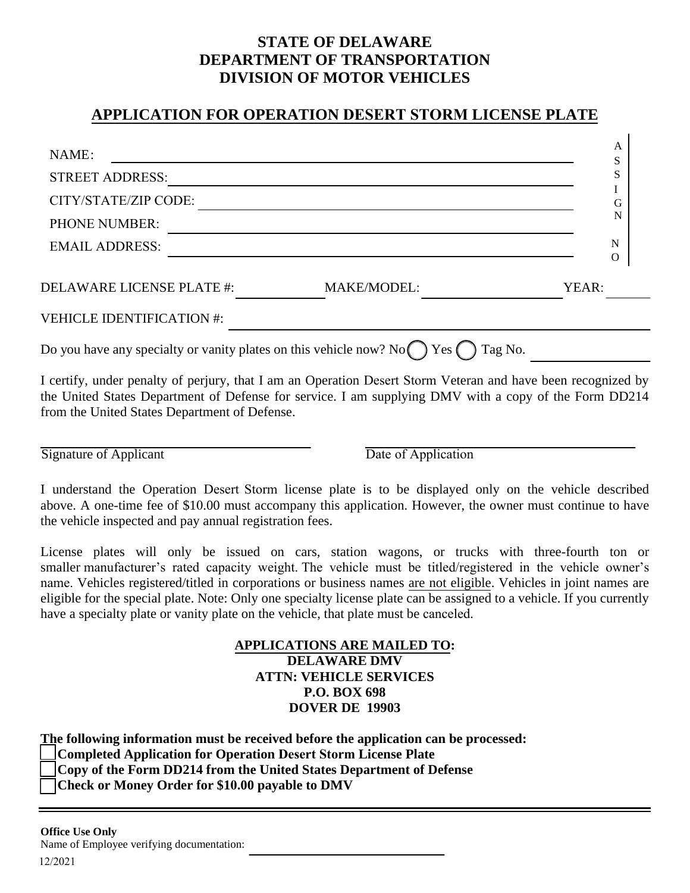## **STATE OF DELAWARE DEPARTMENT OF TRANSPORTATION DIVISION OF MOTOR VEHICLES**

## **APPLICATION FOR OPERATION DESERT STORM LICENSE PLATE**

| NAME:                                                                                      |                    | A<br>S        |
|--------------------------------------------------------------------------------------------|--------------------|---------------|
| <b>STREET ADDRESS:</b>                                                                     |                    | S             |
| CITY/STATE/ZIP CODE:                                                                       |                    | G             |
| PHONE NUMBER:                                                                              |                    | N             |
| <b>EMAIL ADDRESS:</b>                                                                      |                    | N<br>$\Omega$ |
| <b>DELAWARE LICENSE PLATE #:</b>                                                           | <b>MAKE/MODEL:</b> | YEAR:         |
| <b>VEHICLE IDENTIFICATION #:</b>                                                           |                    |               |
| Do you have any specialty or vanity plates on this vehicle now? No $\bigcap$ Yes $\bigcap$ |                    | Tag No.       |

I certify, under penalty of perjury, that I am an Operation Desert Storm Veteran and have been recognized by the United States Department of Defense for service. I am supplying DMV with a copy of the Form DD214 from the United States Department of Defense.

Signature of Applicant Date of Application

I understand the Operation Desert Storm license plate is to be displayed only on the vehicle described above. A one-time fee of \$10.00 must accompany this application. However, the owner must continue to have the vehicle inspected and pay annual registration fees.

License plates will only be issued on cars, station wagons, or trucks with three-fourth ton or smaller manufacturer's rated capacity weight. The vehicle must be titled/registered in the vehicle owner's name. Vehicles registered/titled in corporations or business names are not eligible. Vehicles in joint names are eligible for the special plate. Note: Only one specialty license plate can be assigned to a vehicle. If you currently have a specialty plate or vanity plate on the vehicle, that plate must be canceled.

## **APPLICATIONS ARE MAILED TO: DELAWARE DMV ATTN: VEHICLE SERVICES P.O. BOX 698 DOVER DE 19903**

**The following information must be received before the application can be processed:** 

**Completed Application for Operation Desert Storm License Plate**

**Copy of the Form DD214 from the United States Department of Defense** 

**Check or Money Order for \$10.00 payable to DMV**